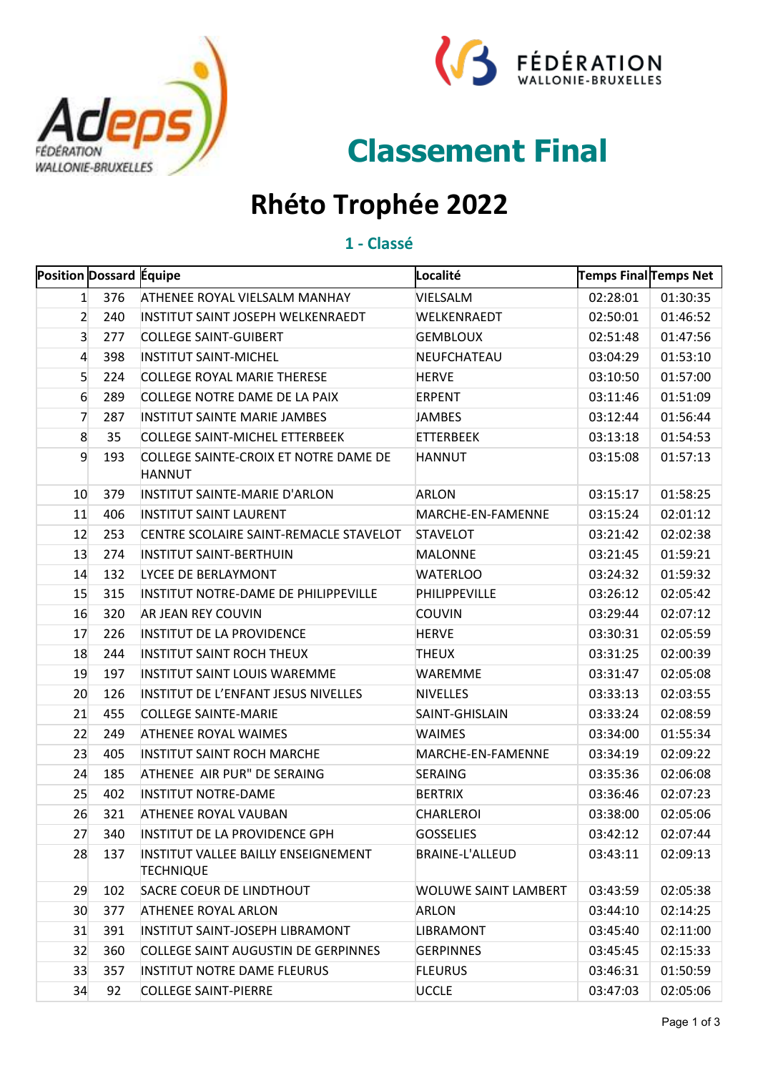



# **Classement Final**

## **Rhéto Trophée 2022**

#### **1 - Classé**

| Position Dossard Equipe |     |                                                         | Localité                    | Temps Final Temps Net |          |
|-------------------------|-----|---------------------------------------------------------|-----------------------------|-----------------------|----------|
| $\mathbf{1}$            | 376 | ATHENEE ROYAL VIELSALM MANHAY                           | VIELSALM                    | 02:28:01              | 01:30:35 |
| 2                       | 240 | INSTITUT SAINT JOSEPH WELKENRAEDT                       | WELKENRAEDT                 | 02:50:01              | 01:46:52 |
| 3                       | 277 | <b>COLLEGE SAINT-GUIBERT</b>                            | <b>GEMBLOUX</b>             | 02:51:48              | 01:47:56 |
| 4                       | 398 | <b>INSTITUT SAINT-MICHEL</b>                            | NEUFCHATEAU                 | 03:04:29              | 01:53:10 |
| 5                       | 224 | <b>COLLEGE ROYAL MARIE THERESE</b>                      | <b>HERVE</b>                | 03:10:50              | 01:57:00 |
| 6                       | 289 | COLLEGE NOTRE DAME DE LA PAIX                           | <b>ERPENT</b>               | 03:11:46              | 01:51:09 |
| 7                       | 287 | <b>INSTITUT SAINTE MARIE JAMBES</b>                     | <b>JAMBES</b>               | 03:12:44              | 01:56:44 |
| 8                       | 35  | <b>COLLEGE SAINT-MICHEL ETTERBEEK</b>                   | <b>ETTERBEEK</b>            | 03:13:18              | 01:54:53 |
| 9                       | 193 | COLLEGE SAINTE-CROIX ET NOTRE DAME DE<br><b>HANNUT</b>  | <b>HANNUT</b>               | 03:15:08              | 01:57:13 |
| 10                      | 379 | INSTITUT SAINTE-MARIE D'ARLON                           | <b>ARLON</b>                | 03:15:17              | 01:58:25 |
| 11                      | 406 | <b>INSTITUT SAINT LAURENT</b>                           | MARCHE-EN-FAMENNE           | 03:15:24              | 02:01:12 |
| 12                      | 253 | CENTRE SCOLAIRE SAINT-REMACLE STAVELOT                  | <b>STAVELOT</b>             | 03:21:42              | 02:02:38 |
| 13                      | 274 | <b>INSTITUT SAINT-BERTHUIN</b>                          | <b>MALONNE</b>              | 03:21:45              | 01:59:21 |
| 14                      | 132 | LYCEE DE BERLAYMONT                                     | <b>WATERLOO</b>             | 03:24:32              | 01:59:32 |
| 15                      | 315 | INSTITUT NOTRE-DAME DE PHILIPPEVILLE                    | PHILIPPEVILLE               | 03:26:12              | 02:05:42 |
| 16                      | 320 | AR JEAN REY COUVIN                                      | <b>COUVIN</b>               | 03:29:44              | 02:07:12 |
| 17                      | 226 | <b>INSTITUT DE LA PROVIDENCE</b>                        | <b>HERVE</b>                | 03:30:31              | 02:05:59 |
| 18                      | 244 | <b>INSTITUT SAINT ROCH THEUX</b>                        | <b>THEUX</b>                | 03:31:25              | 02:00:39 |
| 19                      | 197 | INSTITUT SAINT LOUIS WAREMME                            | <b>WAREMME</b>              | 03:31:47              | 02:05:08 |
| 20                      | 126 | INSTITUT DE L'ENFANT JESUS NIVELLES                     | <b>NIVELLES</b>             | 03:33:13              | 02:03:55 |
| 21                      | 455 | <b>COLLEGE SAINTE-MARIE</b>                             | SAINT-GHISLAIN              | 03:33:24              | 02:08:59 |
| 22                      | 249 | <b>ATHENEE ROYAL WAIMES</b>                             | <b>WAIMES</b>               | 03:34:00              | 01:55:34 |
| 23                      | 405 | <b>INSTITUT SAINT ROCH MARCHE</b>                       | MARCHE-EN-FAMENNE           | 03:34:19              | 02:09:22 |
| 24                      | 185 | ATHENEE AIR PUR" DE SERAING                             | <b>SERAING</b>              | 03:35:36              | 02:06:08 |
| 25                      | 402 | <b>INSTITUT NOTRE-DAME</b>                              | <b>BERTRIX</b>              | 03:36:46              | 02:07:23 |
| 26                      | 321 | <b>ATHENEE ROYAL VAUBAN</b>                             | <b>CHARLEROI</b>            | 03:38:00              | 02:05:06 |
| 27                      | 340 | INSTITUT DE LA PROVIDENCE GPH                           | <b>GOSSELIES</b>            | 03:42:12              | 02:07:44 |
| 28                      | 137 | INSTITUT VALLEE BAILLY ENSEIGNEMENT<br><b>TECHNIQUE</b> | BRAINE-L'ALLEUD             | 03:43:11              | 02:09:13 |
| 29                      | 102 | SACRE COEUR DE LINDTHOUT                                | <b>WOLUWE SAINT LAMBERT</b> | 03:43:59              | 02:05:38 |
| 30                      | 377 | <b>ATHENEE ROYAL ARLON</b>                              | <b>ARLON</b>                | 03:44:10              | 02:14:25 |
| 31                      | 391 | INSTITUT SAINT-JOSEPH LIBRAMONT                         | <b>LIBRAMONT</b>            | 03:45:40              | 02:11:00 |
| 32                      | 360 | <b>COLLEGE SAINT AUGUSTIN DE GERPINNES</b>              | <b>GERPINNES</b>            | 03:45:45              | 02:15:33 |
| 33                      | 357 | <b>INSTITUT NOTRE DAME FLEURUS</b>                      | <b>FLEURUS</b>              | 03:46:31              | 01:50:59 |
| 34                      | 92  | <b>COLLEGE SAINT-PIERRE</b>                             | <b>UCCLE</b>                | 03:47:03              | 02:05:06 |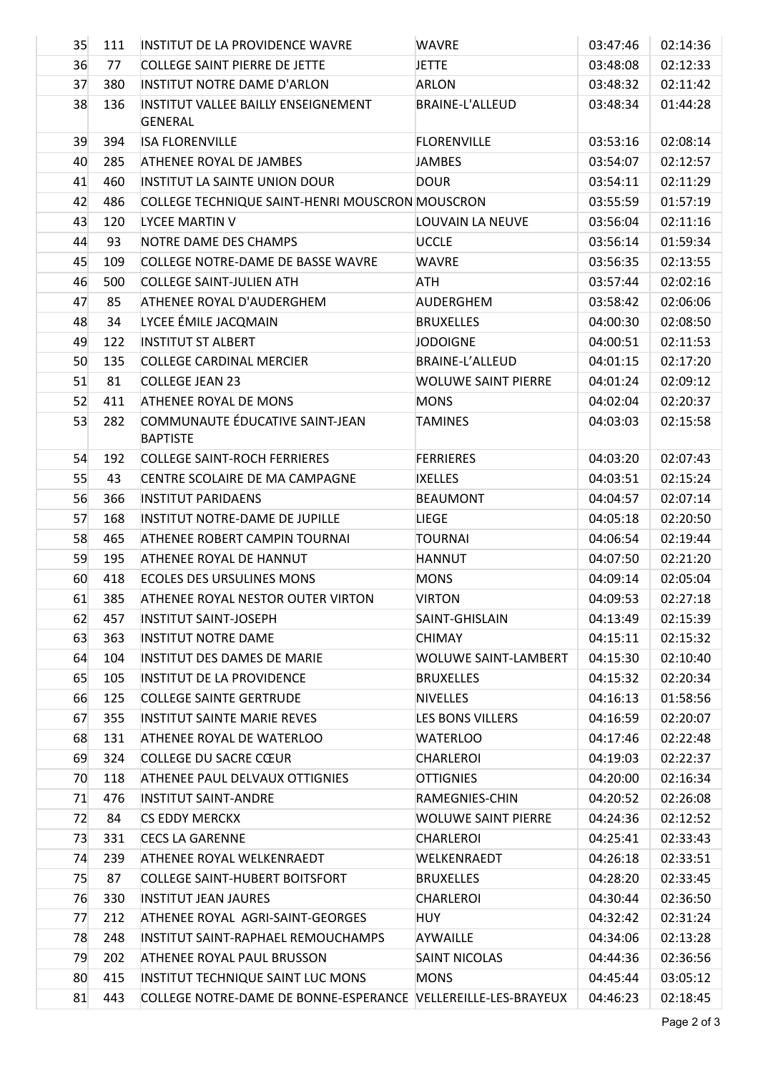| 35 | 111 | INSTITUT DE LA PROVIDENCE WAVRE                               | <b>WAVRE</b>               | 03:47:46 | 02:14:36 |
|----|-----|---------------------------------------------------------------|----------------------------|----------|----------|
| 36 | 77  | COLLEGE SAINT PIERRE DE JETTE                                 | <b>JETTE</b>               | 03:48:08 | 02:12:33 |
| 37 | 380 | INSTITUT NOTRE DAME D'ARLON                                   | ARLON                      | 03:48:32 | 02:11:42 |
| 38 | 136 | INSTITUT VALLEE BAILLY ENSEIGNEMENT<br>GENERAL                | <b>BRAINE-L'ALLEUD</b>     | 03:48:34 | 01:44:28 |
| 39 | 394 | <b>ISA FLORENVILLE</b>                                        | <b>FLORENVILLE</b>         | 03:53:16 | 02:08:14 |
| 40 | 285 | ATHENEE ROYAL DE JAMBES                                       | <b>JAMBES</b>              | 03:54:07 | 02:12:57 |
| 41 | 460 | INSTITUT LA SAINTE UNION DOUR                                 | <b>DOUR</b>                | 03:54:11 | 02:11:29 |
| 42 | 486 | COLLEGE TECHNIQUE SAINT-HENRI MOUSCRON MOUSCRON               |                            | 03:55:59 | 01:57:19 |
| 43 | 120 | <b>LYCEE MARTIN V</b>                                         | LOUVAIN LA NEUVE           | 03:56:04 | 02:11:16 |
| 44 | 93  | NOTRE DAME DES CHAMPS                                         | <b>UCCLE</b>               | 03:56:14 | 01:59:34 |
| 45 | 109 | COLLEGE NOTRE-DAME DE BASSE WAVRE                             | <b>WAVRE</b>               | 03:56:35 | 02:13:55 |
| 46 | 500 | <b>COLLEGE SAINT-JULIEN ATH</b>                               | ATH                        | 03:57:44 | 02:02:16 |
| 47 | 85  | ATHENEE ROYAL D'AUDERGHEM                                     | AUDERGHEM                  | 03:58:42 | 02:06:06 |
| 48 | 34  | LYCEE ÉMILE JACQMAIN                                          | <b>BRUXELLES</b>           | 04:00:30 | 02:08:50 |
| 49 | 122 | <b>INSTITUT ST ALBERT</b>                                     | <b>JODOIGNE</b>            | 04:00:51 | 02:11:53 |
| 50 | 135 | <b>COLLEGE CARDINAL MERCIER</b>                               | <b>BRAINE-L'ALLEUD</b>     | 04:01:15 | 02:17:20 |
| 51 | 81  | <b>COLLEGE JEAN 23</b>                                        | <b>WOLUWE SAINT PIERRE</b> | 04:01:24 | 02:09:12 |
| 52 | 411 | <b>ATHENEE ROYAL DE MONS</b>                                  | <b>MONS</b>                | 04:02:04 | 02:20:37 |
| 53 | 282 | COMMUNAUTE ÉDUCATIVE SAINT-JEAN<br><b>BAPTISTE</b>            | <b>TAMINES</b>             | 04:03:03 | 02:15:58 |
| 54 | 192 | <b>COLLEGE SAINT-ROCH FERRIERES</b>                           | <b>FERRIERES</b>           | 04:03:20 | 02:07:43 |
| 55 | 43  | CENTRE SCOLAIRE DE MA CAMPAGNE                                | <b>IXELLES</b>             | 04:03:51 | 02:15:24 |
| 56 | 366 | <b>INSTITUT PARIDAENS</b>                                     | <b>BEAUMONT</b>            | 04:04:57 | 02:07:14 |
| 57 | 168 | INSTITUT NOTRE-DAME DE JUPILLE                                | LIEGE                      | 04:05:18 | 02:20:50 |
| 58 | 465 | ATHENEE ROBERT CAMPIN TOURNAI                                 | <b>TOURNAI</b>             | 04:06:54 | 02:19:44 |
| 59 | 195 | ATHENEE ROYAL DE HANNUT                                       | <b>HANNUT</b>              | 04:07:50 | 02:21:20 |
| 60 | 418 | <b>ECOLES DES URSULINES MONS</b>                              | <b>MONS</b>                | 04:09:14 | 02:05:04 |
| 61 | 385 | ATHENEE ROYAL NESTOR OUTER VIRTON                             | <b>VIRTON</b>              | 04:09:53 | 02:27:18 |
| 62 | 457 | <b>INSTITUT SAINT-JOSEPH</b>                                  | SAINT-GHISLAIN             | 04:13:49 | 02:15:39 |
| 63 | 363 | INSTITUT NOTRE DAME                                           | <b>CHIMAY</b>              | 04:15:11 | 02:15:32 |
| 64 | 104 | <b>INSTITUT DES DAMES DE MARIE</b>                            | WOLUWE SAINT-LAMBERT       | 04:15:30 | 02:10:40 |
| 65 | 105 | <b>INSTITUT DE LA PROVIDENCE</b>                              | <b>BRUXELLES</b>           | 04:15:32 | 02:20:34 |
| 66 | 125 | <b>COLLEGE SAINTE GERTRUDE</b>                                | <b>NIVELLES</b>            | 04:16:13 | 01:58:56 |
| 67 | 355 | <b>INSTITUT SAINTE MARIE REVES</b>                            | LES BONS VILLERS           | 04:16:59 | 02:20:07 |
| 68 | 131 | ATHENEE ROYAL DE WATERLOO                                     | <b>WATERLOO</b>            | 04:17:46 | 02:22:48 |
| 69 | 324 | COLLEGE DU SACRE CŒUR                                         | CHARLEROI                  | 04:19:03 | 02:22:37 |
| 70 | 118 | <b>ATHENEE PAUL DELVAUX OTTIGNIES</b>                         | <b>OTTIGNIES</b>           | 04:20:00 | 02:16:34 |
| 71 | 476 | <b>INSTITUT SAINT-ANDRE</b>                                   | RAMEGNIES-CHIN             | 04:20:52 | 02:26:08 |
| 72 | 84  | CS EDDY MERCKX                                                | <b>WOLUWE SAINT PIERRE</b> | 04:24:36 | 02:12:52 |
| 73 | 331 | <b>CECS LA GARENNE</b>                                        | CHARLEROI                  | 04:25:41 | 02:33:43 |
| 74 | 239 | ATHENEE ROYAL WELKENRAEDT                                     | WELKENRAEDT                | 04:26:18 | 02:33:51 |
| 75 | 87  | <b>COLLEGE SAINT-HUBERT BOITSFORT</b>                         | <b>BRUXELLES</b>           | 04:28:20 | 02:33:45 |
| 76 | 330 | <b>INSTITUT JEAN JAURES</b>                                   | <b>CHARLEROI</b>           | 04:30:44 | 02:36:50 |
| 77 | 212 | ATHENEE ROYAL AGRI-SAINT-GEORGES                              | HUY.                       | 04:32:42 | 02:31:24 |
| 78 | 248 | INSTITUT SAINT-RAPHAEL REMOUCHAMPS                            | AYWAILLE                   | 04:34:06 | 02:13:28 |
| 79 | 202 | ATHENEE ROYAL PAUL BRUSSON                                    | <b>SAINT NICOLAS</b>       | 04:44:36 | 02:36:56 |
| 80 | 415 | INSTITUT TECHNIQUE SAINT LUC MONS                             | <b>MONS</b>                | 04:45:44 | 03:05:12 |
| 81 | 443 | COLLEGE NOTRE-DAME DE BONNE-ESPERANCE VELLEREILLE-LES-BRAYEUX |                            | 04:46:23 | 02:18:45 |